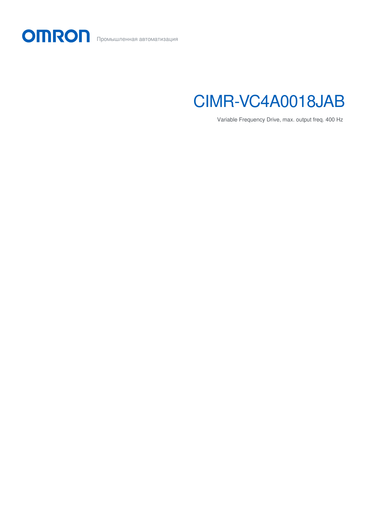



Variable Frequency Drive, max. output freq. 400 Hz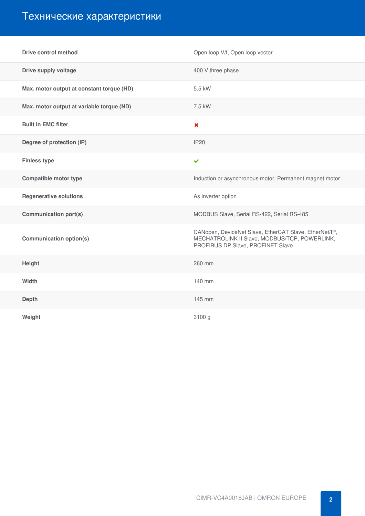## Технические характеристики

| <b>Drive control method</b>               | Open loop V/f, Open loop vector                                                                                                              |
|-------------------------------------------|----------------------------------------------------------------------------------------------------------------------------------------------|
| Drive supply voltage                      | 400 V three phase                                                                                                                            |
| Max. motor output at constant torque (HD) | 5.5 kW                                                                                                                                       |
| Max. motor output at variable torque (ND) | 7.5 kW                                                                                                                                       |
| <b>Built in EMC filter</b>                | $\boldsymbol{\mathsf{x}}$                                                                                                                    |
| Degree of protection (IP)                 | <b>IP20</b>                                                                                                                                  |
| <b>Finless type</b>                       | $\checkmark$                                                                                                                                 |
| <b>Compatible motor type</b>              | Induction or asynchronous motor, Permanent magnet motor                                                                                      |
| <b>Regenerative solutions</b>             | As inverter option                                                                                                                           |
| <b>Communication port(s)</b>              | MODBUS Slave, Serial RS-422, Serial RS-485                                                                                                   |
| <b>Communication option(s)</b>            | CANopen, DeviceNet Slave, EtherCAT Slave, EtherNet/IP,<br>MECHATROLINK II Slave, MODBUS/TCP, POWERLINK,<br>PROFIBUS DP Slave, PROFINET Slave |
| Height                                    | 260 mm                                                                                                                                       |
| Width                                     | 140 mm                                                                                                                                       |
| <b>Depth</b>                              | 145 mm                                                                                                                                       |
| Weight                                    | 3100 g                                                                                                                                       |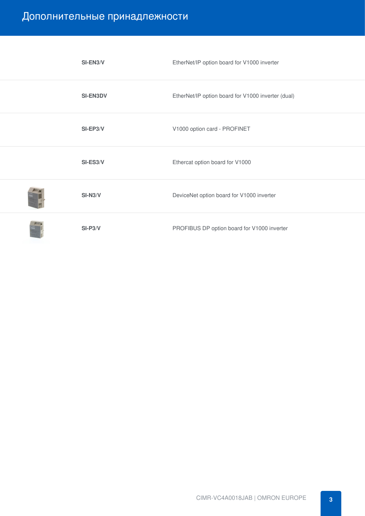## Дополнительные принадлежности

| SI-EN3/V        | EtherNet/IP option board for V1000 inverter        |
|-----------------|----------------------------------------------------|
| <b>SI-EN3DV</b> | EtherNet/IP option board for V1000 inverter (dual) |
| $SI-EP3/V$      | V1000 option card - PROFINET                       |
| SI-ES3/V        | Ethercat option board for V1000                    |
| $SI-N3/V$       | DeviceNet option board for V1000 inverter          |
| $SI-P3/V$       | PROFIBUS DP option board for V1000 inverter        |